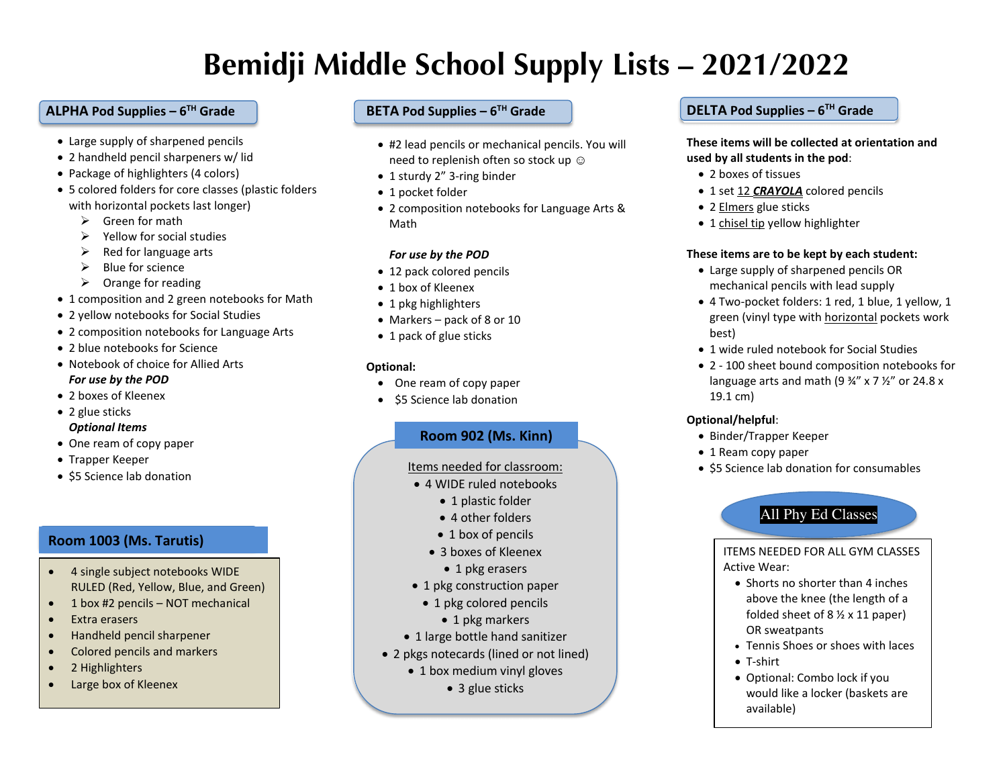# **Bemidji Middle School Supply Lists – 2021/2022**

## **ALPHA Pod Supplies – 6TH Grade**

- Large supply of sharpened pencils
- 2 handheld pencil sharpeners w/ lid
- Package of highlighters (4 colors)
- 5 colored folders for core classes (plastic folders with horizontal pockets last longer)
	- $\triangleright$  Green for math
	- $\triangleright$  Yellow for social studies
	- $\triangleright$  Red for language arts
	- $\triangleright$  Blue for science
	- $\triangleright$  Orange for reading
- 1 composition and 2 green notebooks for Math
- 2 yellow notebooks for Social Studies
- 2 composition notebooks for Language Arts
- 2 blue notebooks for Science
- Notebook of choice for Allied Arts *For use by the POD*
- 2 boxes of Kleenex
- 2 glue sticks *Optional Items*
- One ream of copy paper
- Trapper Keeper
- \$5 Science lab donation

# **Room 1003 (Ms. Tarutis)**

- 4 single subject notebooks WIDE RULED (Red, Yellow, Blue, and Green)
- 1 box #2 pencils NOT mechanical
- Extra erasers
- Handheld pencil sharpener
- Colored pencils and markers
- 2 Highlighters
- Large box of Kleenex

## **BETA Pod Supplies – 6TH Grade**

- #2 lead pencils or mechanical pencils. You will need to replenish often so stock up  $\odot$
- 1 sturdy 2" 3-ring binder
- 1 pocket folder
- 2 composition notebooks for Language Arts & Math

## *For use by the POD*

- 12 pack colored pencils
- 1 box of Kleenex
- 1 pkg highlighters
- Markers pack of 8 or 10
- 1 pack of glue sticks

## **Optional:**

- One ream of copy paper
- \$5 Science lab donation

# **Room 902 (Ms. Kinn)**

## Items needed for classroom:

- 4 WIDE ruled notebooks
	- 1 plastic folder
	- 4 other folders
	- 1 box of pencils
	- 3 boxes of Kleenex
		- 1 pkg erasers
- 1 pkg construction paper
- 1 pkg colored pencils
	- 1 pkg markers
- 1 large bottle hand sanitizer
- 2 pkgs notecards (lined or not lined)
	- 1 box medium vinyl gloves
		- 3 glue sticks

## **DELTA Pod Supplies – 6TH Grade**

**These items will be collected at orientation and used by all students in the pod**:

- 2 boxes of tissues
- 1 set 12 *CRAYOLA* colored pencils
- 2 Elmers glue sticks
- 1 chisel tip yellow highlighter

## **These items are to be kept by each student:**

- Large supply of sharpened pencils OR mechanical pencils with lead supply
- 4 Two-pocket folders: 1 red, 1 blue, 1 yellow, 1 green (vinyl type with horizontal pockets work best)
- 1 wide ruled notebook for Social Studies
- 2 100 sheet bound composition notebooks for language arts and math (9  $\frac{3}{4}$ " x 7  $\frac{1}{2}$ " or 24.8 x 19.1 cm)

## **Optional/helpful**:

- Binder/Trapper Keeper
- 1 Ream copy paper
- \$5 Science lab donation for consumables

# All Phy Ed Classes

ITEMS NEEDED FOR ALL GYM CLASSES Active Wear:

- Shorts no shorter than 4 inches above the knee (the length of a folded sheet of 8 ½ x 11 paper) OR sweatpants
- Tennis Shoes or shoes with laces
- T-shirt
- Optional: Combo lock if you would like a locker (baskets are available)